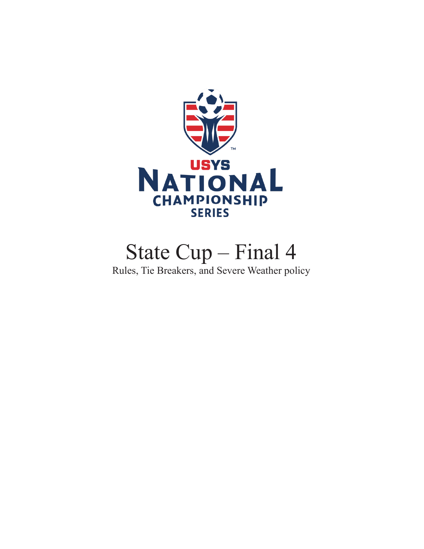

# State Cup – Final 4

Rules, Tie Breakers, and Severe Weather policy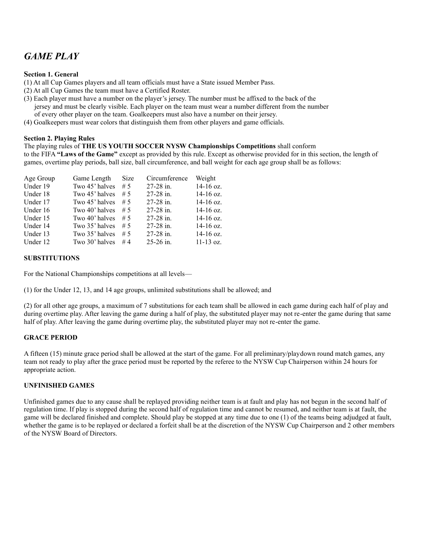### *GAME PLAY*

#### **Section 1. General**

(1) At all Cup Games players and all team officials must have a State issued Member Pass.

- (2) At all Cup Games the team must have a Certified Roster.
- (3) Each player must have a number on the player's jersey. The number must be affixed to the back of the jersey and must be clearly visible. Each player on the team must wear a number different from the number of every other player on the team. Goalkeepers must also have a number on their jersey.
- (4) Goalkeepers must wear colors that distinguish them from other players and game officials.

#### **Section 2. Playing Rules**

The playing rules of **THE US YOUTH SOCCER NYSW Championships Competitions** shall conform

to the FIFA **"Laws of the Game"** except as provided by this rule. Except as otherwise provided for in this section, the length of games, overtime play periods, ball size, ball circumference, and ball weight for each age group shall be as follows:

| Age Group | Game Length          | Size | Circumference | Weight      |
|-----------|----------------------|------|---------------|-------------|
| Under 19  | Two 45' halves $# 5$ |      | $27-28$ in.   | 14-16 oz.   |
| Under 18  | Two 45' halves       | # 5  | $27-28$ in.   | 14-16 oz.   |
| Under 17  | Two 45' halves       | # 5  | $27-28$ in.   | $14-16$ oz. |
| Under 16  | Two 40' halves       | # 5  | $27-28$ in.   | $14-16$ oz. |
| Under 15  | Two 40' halves       | # 5  | 27-28 in.     | $14-16$ oz. |
| Under 14  | Two 35' halves       | # 5  | 27-28 in.     | 14-16 oz.   |
| Under 13  | Two 35' halves       | # 5  | $27-28$ in.   | 14-16 oz.   |
| Under 12  | Two 30' halves       | #4   | 25-26 in.     | $11-13$ oz. |

#### **SUBSTITUTIONS**

For the National Championships competitions at all levels—

(1) for the Under 12, 13, and 14 age groups, unlimited substitutions shall be allowed; and

(2) for all other age groups, a maximum of 7 substitutions for each team shall be allowed in each game during each half of play and during overtime play. After leaving the game during a half of play, the substituted player may not re-enter the game during that same half of play. After leaving the game during overtime play, the substituted player may not re-enter the game.

#### **GRACE PERIOD**

A fifteen (15) minute grace period shall be allowed at the start of the game. For all preliminary/playdown round match games, any team not ready to play after the grace period must be reported by the referee to the NYSW Cup Chairperson within 24 hours for appropriate action.

#### **UNFINISHED GAMES**

Unfinished games due to any cause shall be replayed providing neither team is at fault and play has not begun in the second half of regulation time. If play is stopped during the second half of regulation time and cannot be resumed, and neither team is at fault, the game will be declared finished and complete. Should play be stopped at any time due to one (1) of the teams being adjudged at fault, whether the game is to be replayed or declared a forfeit shall be at the discretion of the NYSW Cup Chairperson and 2 other members of the NYSW Board of Directors.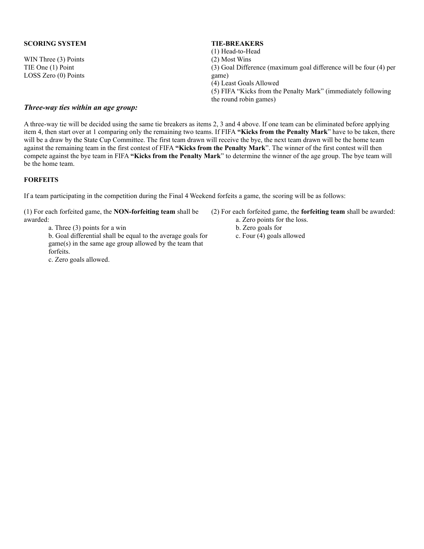#### **SCORING SYSTEM**

WIN Three (3) Points TIE One (1) Point LOSS Zero (0) Points

#### **TIE-BREAKERS**

(1) Head-to-Head

(2) Most Wins

(3) Goal Difference (maximum goal difference will be four (4) per game)

- (4) Least Goals Allowed
- (5) FIFA "Kicks from the Penalty Mark" (immediately following the round robin games)

#### *Three-way ties within an age group:*

A three-way tie will be decided using the same tie breakers as items 2, 3 and 4 above. If one team can be eliminated before applying item 4, then start over at 1 comparing only the remaining two teams. If FIFA **"Kicks from the Penalty Mark**" have to be taken, there will be a draw by the State Cup Committee. The first team drawn will receive the bye, the next team drawn will be the home team against the remaining team in the first contest of FIFA **"Kicks from the Penalty Mark**". The winner of the first contest will then compete against the bye team in FIFA **"Kicks from the Penalty Mark**" to determine the winner of the age group. The bye team will be the home team.

#### **FORFEITS**

If a team participating in the competition during the Final 4 Weekend forfeits a game, the scoring will be as follows:

(1) For each forfeited game, the **NON-forfeiting team** shall be awarded:

a. Three (3) points for a win

b. Goal differential shall be equal to the average goals for game(s) in the same age group allowed by the team that forfeits.

c. Zero goals allowed.

- (2) For each forfeited game, the **forfeiting team** shall be awarded:
	- a. Zero points for the loss.
	- b. Zero goals for
	- c. Four (4) goals allowed